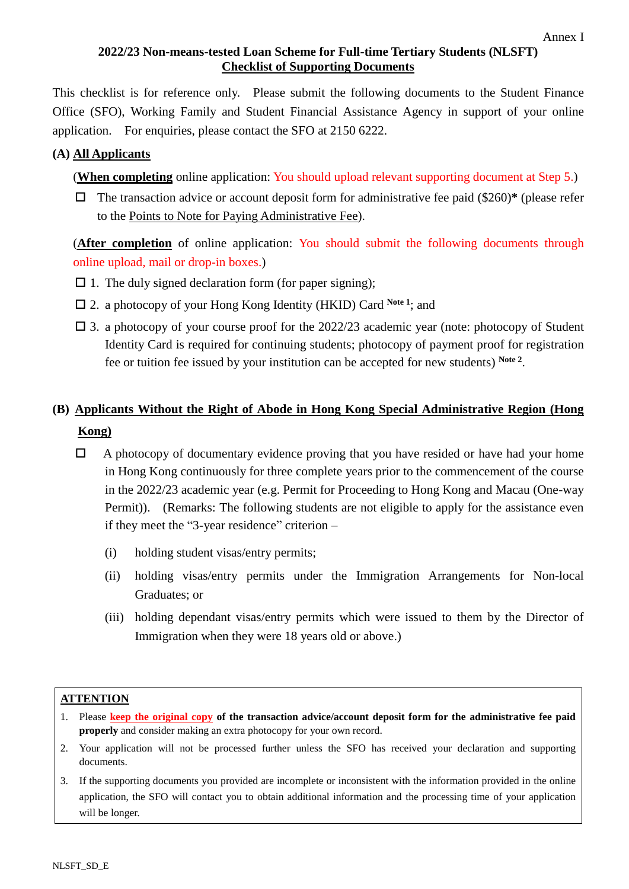### **2022/23 Non-means-tested Loan Scheme for Full-time Tertiary Students (NLSFT) Checklist of Supporting Documents**

This checklist is for reference only. Please submit the following documents to the Student Finance Office (SFO), Working Family and Student Financial Assistance Agency in support of your online application. For enquiries, please contact the SFO at 2150 6222.

## **(A) All Applicants**

(**When completing** online application: You should upload relevant supporting document at Step 5.)

 $\Box$  The transaction advice or account deposit form for administrative fee paid (\$260) $*$  (please refer to the Points to Note for Paying Administrative Fee).

(**After completion** of online application: You should submit the following documents through online upload, mail or drop-in boxes.)

- $\Box$  1. The duly signed declaration form (for paper signing);
- □ 2. a photocopy of your Hong Kong Identity (HKID) Card <sup>Note 1</sup>; and
- $\Box$  3. a photocopy of your course proof for the 2022/23 academic year (note: photocopy of Student Identity Card is required for continuing students; photocopy of payment proof for registration fee or tuition fee issued by your institution can be accepted for new students) Note 2.

# **(B) Applicants Without the Right of Abode in Hong Kong Special Administrative Region (Hong Kong)**

- $\Box$  A photocopy of documentary evidence proving that you have resided or have had your home in Hong Kong continuously for three complete years prior to the commencement of the course in the 2022/23 academic year (e.g. Permit for Proceeding to Hong Kong and Macau (One-way Permit)). (Remarks: The following students are not eligible to apply for the assistance even if they meet the "3-year residence" criterion –
	- (i) holding student visas/entry permits;
	- (ii) holding visas/entry permits under the Immigration Arrangements for Non-local Graduates; or
	- (iii) holding dependant visas/entry permits which were issued to them by the Director of Immigration when they were 18 years old or above.)

### **ATTENTION**

- 1. Please **keep the original copy of the transaction advice/account deposit form for the administrative fee paid properly** and consider making an extra photocopy for your own record.
- 2. Your application will not be processed further unless the SFO has received your declaration and supporting documents.
- 3. If the supporting documents you provided are incomplete or inconsistent with the information provided in the online application, the SFO will contact you to obtain additional information and the processing time of your application will be longer.